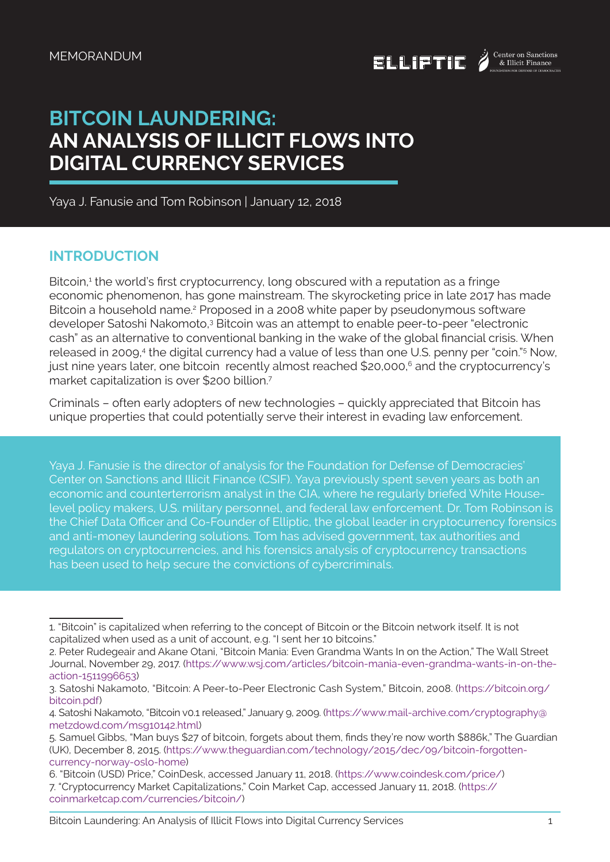

# **BITCOIN LAUNDERING: AN ANALYSIS OF ILLICIT FLOWS INTO DIGITAL CURRENCY SERVICES**

Yaya J. Fanusie and Tom Robinson | January 12, 2018

# **INTRODUCTION**

Bitcoin,<sup>1</sup> the world's first cryptocurrency, long obscured with a reputation as a fringe economic phenomenon, has gone mainstream. The skyrocketing price in late 2017 has made Bitcoin a household name.<sup>2</sup> Proposed in a 2008 white paper by pseudonymous software developer Satoshi Nakomoto,<sup>3</sup> Bitcoin was an attempt to enable peer-to-peer "electronic cash" as an alternative to conventional banking in the wake of the global financial crisis. When released in 2009,<sup>4</sup> the digital currency had a value of less than one U.S. penny per "coin."<sup>5</sup> Now, just nine years later, one bitcoin recently almost reached \$20,000,<sup>6</sup> and the cryptocurrency's market capitalization is over \$200 billion.7

Criminals – often early adopters of new technologies – quickly appreciated that Bitcoin has unique properties that could potentially serve their interest in evading law enforcement.

Yaya J. Fanusie is the director of analysis for the Foundation for Defense of Democracies' Center on Sanctions and Illicit Finance (CSIF). Yaya previously spent seven years as both an economic and counterterrorism analyst in the CIA, where he regularly briefed White Houselevel policy makers, U.S. military personnel, and federal law enforcement. Dr. Tom Robinson is the Chief Data Officer and Co-Founder of Elliptic, the global leader in cryptocurrency forensics and anti-money laundering solutions. Tom has advised government, tax authorities and regulators on cryptocurrencies, and his forensics analysis of cryptocurrency transactions has been used to help secure the convictions of cybercriminals.

<sup>1. &</sup>quot;Bitcoin" is capitalized when referring to the concept of Bitcoin or the Bitcoin network itself. It is not capitalized when used as a unit of account, e.g. "I sent her 10 bitcoins."

<sup>2.</sup> Peter Rudegeair and Akane Otani, "Bitcoin Mania: Even Grandma Wants In on the Action," The Wall Street Journal, November 29, 2017. (https://www.wsj.com/articles/bitcoin-mania-even-grandma-wants-in-on-theaction-1511996653)

<sup>3.</sup> Satoshi Nakamoto, "Bitcoin: A Peer-to-Peer Electronic Cash System," Bitcoin, 2008. (https://bitcoin.org/ bitcoin.pdf)

<sup>4.</sup> Satoshi Nakamoto, "Bitcoin v0.1 released," January 9, 2009. (https://www.mail-archive.com/cryptography@ metzdowd.com/msg10142.html)

<sup>5.</sup> Samuel Gibbs, "Man buys \$27 of bitcoin, forgets about them, finds they're now worth \$886k," The Guardian (UK), December 8, 2015. (https://www.theguardian.com/technology/2015/dec/09/bitcoin-forgottencurrency-norway-oslo-home)

<sup>6. &</sup>quot;Bitcoin (USD) Price," CoinDesk, accessed January 11, 2018. (https://www.coindesk.com/price/) 7. "Cryptocurrency Market Capitalizations," Coin Market Cap, accessed January 11, 2018. (https:// coinmarketcap.com/currencies/bitcoin/)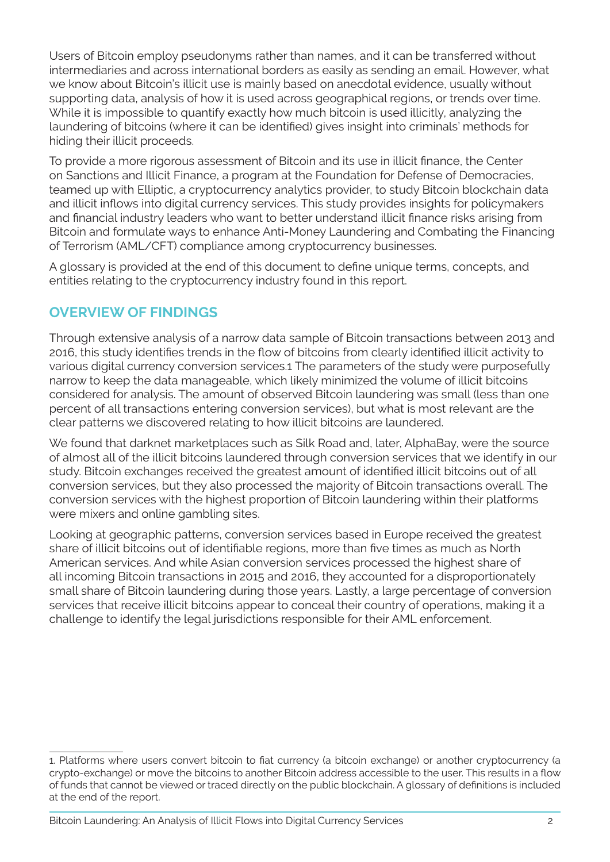Users of Bitcoin employ pseudonyms rather than names, and it can be transferred without intermediaries and across international borders as easily as sending an email. However, what we know about Bitcoin's illicit use is mainly based on anecdotal evidence, usually without supporting data, analysis of how it is used across geographical regions, or trends over time. While it is impossible to quantify exactly how much bitcoin is used illicitly, analyzing the laundering of bitcoins (where it can be identified) gives insight into criminals' methods for hiding their illicit proceeds.

To provide a more rigorous assessment of Bitcoin and its use in illicit finance, the Center on Sanctions and Illicit Finance, a program at the Foundation for Defense of Democracies, teamed up with Elliptic, a cryptocurrency analytics provider, to study Bitcoin blockchain data and illicit inflows into digital currency services. This study provides insights for policymakers and financial industry leaders who want to better understand illicit finance risks arising from Bitcoin and formulate ways to enhance Anti-Money Laundering and Combating the Financing of Terrorism (AML/CFT) compliance among cryptocurrency businesses.

A glossary is provided at the end of this document to define unique terms, concepts, and entities relating to the cryptocurrency industry found in this report.

# **OVERVIEW OF FINDINGS**

Through extensive analysis of a narrow data sample of Bitcoin transactions between 2013 and 2016, this study identifies trends in the flow of bitcoins from clearly identified illicit activity to various digital currency conversion services.1 The parameters of the study were purposefully narrow to keep the data manageable, which likely minimized the volume of illicit bitcoins considered for analysis. The amount of observed Bitcoin laundering was small (less than one percent of all transactions entering conversion services), but what is most relevant are the clear patterns we discovered relating to how illicit bitcoins are laundered.

We found that darknet marketplaces such as Silk Road and, later, AlphaBay, were the source of almost all of the illicit bitcoins laundered through conversion services that we identify in our study. Bitcoin exchanges received the greatest amount of identified illicit bitcoins out of all conversion services, but they also processed the majority of Bitcoin transactions overall. The conversion services with the highest proportion of Bitcoin laundering within their platforms were mixers and online gambling sites.

Looking at geographic patterns, conversion services based in Europe received the greatest share of illicit bitcoins out of identifiable regions, more than five times as much as North American services. And while Asian conversion services processed the highest share of all incoming Bitcoin transactions in 2015 and 2016, they accounted for a disproportionately small share of Bitcoin laundering during those years. Lastly, a large percentage of conversion services that receive illicit bitcoins appear to conceal their country of operations, making it a challenge to identify the legal jurisdictions responsible for their AML enforcement.

<sup>1.</sup> Platforms where users convert bitcoin to fiat currency (a bitcoin exchange) or another cryptocurrency (a crypto-exchange) or move the bitcoins to another Bitcoin address accessible to the user. This results in a flow of funds that cannot be viewed or traced directly on the public blockchain. A glossary of definitions is included at the end of the report.

Bitcoin Laundering: An Analysis of Illicit Flows into Digital Currency Services 2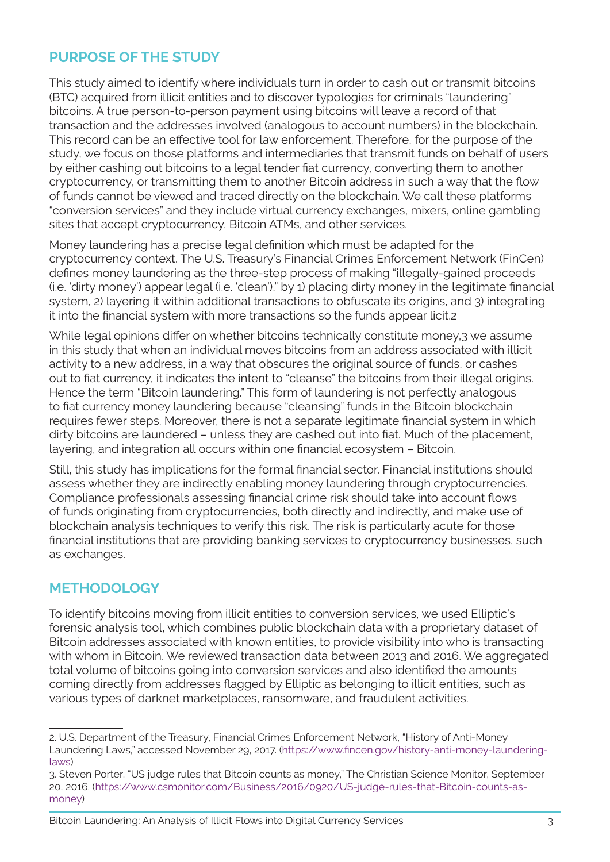# **PURPOSE OF THE STUDY**

This study aimed to identify where individuals turn in order to cash out or transmit bitcoins (BTC) acquired from illicit entities and to discover typologies for criminals "laundering" bitcoins. A true person-to-person payment using bitcoins will leave a record of that transaction and the addresses involved (analogous to account numbers) in the blockchain. This record can be an effective tool for law enforcement. Therefore, for the purpose of the study, we focus on those platforms and intermediaries that transmit funds on behalf of users by either cashing out bitcoins to a legal tender fiat currency, converting them to another cryptocurrency, or transmitting them to another Bitcoin address in such a way that the flow of funds cannot be viewed and traced directly on the blockchain. We call these platforms "conversion services" and they include virtual currency exchanges, mixers, online gambling sites that accept cryptocurrency, Bitcoin ATMs, and other services.

Money laundering has a precise legal definition which must be adapted for the cryptocurrency context. The U.S. Treasury's Financial Crimes Enforcement Network (FinCen) defines money laundering as the three-step process of making "illegally-gained proceeds (i.e. 'dirty money') appear legal (i.e. 'clean')," by 1) placing dirty money in the legitimate financial system, 2) layering it within additional transactions to obfuscate its origins, and 3) integrating it into the financial system with more transactions so the funds appear licit.2

While legal opinions differ on whether bitcoins technically constitute money, 3 we assume in this study that when an individual moves bitcoins from an address associated with illicit activity to a new address, in a way that obscures the original source of funds, or cashes out to fiat currency, it indicates the intent to "cleanse" the bitcoins from their illegal origins. Hence the term "Bitcoin laundering." This form of laundering is not perfectly analogous to fiat currency money laundering because "cleansing" funds in the Bitcoin blockchain requires fewer steps. Moreover, there is not a separate legitimate financial system in which dirty bitcoins are laundered – unless they are cashed out into fiat. Much of the placement, layering, and integration all occurs within one financial ecosystem – Bitcoin.

Still, this study has implications for the formal financial sector. Financial institutions should assess whether they are indirectly enabling money laundering through cryptocurrencies. Compliance professionals assessing financial crime risk should take into account flows of funds originating from cryptocurrencies, both directly and indirectly, and make use of blockchain analysis techniques to verify this risk. The risk is particularly acute for those financial institutions that are providing banking services to cryptocurrency businesses, such as exchanges.

# **METHODOLOGY**

To identify bitcoins moving from illicit entities to conversion services, we used Elliptic's forensic analysis tool, which combines public blockchain data with a proprietary dataset of Bitcoin addresses associated with known entities, to provide visibility into who is transacting with whom in Bitcoin. We reviewed transaction data between 2013 and 2016. We aggregated total volume of bitcoins going into conversion services and also identified the amounts coming directly from addresses flagged by Elliptic as belonging to illicit entities, such as various types of darknet marketplaces, ransomware, and fraudulent activities.

<sup>2.</sup> U.S. Department of the Treasury, Financial Crimes Enforcement Network, "History of Anti-Money Laundering Laws," accessed November 29, 2017. (https://www.fincen.gov/history-anti-money-launderinglaws)

<sup>3.</sup> Steven Porter, "US judge rules that Bitcoin counts as money," The Christian Science Monitor, September 20, 2016. (https://www.csmonitor.com/Business/2016/0920/US-judge-rules-that-Bitcoin-counts-asmoney)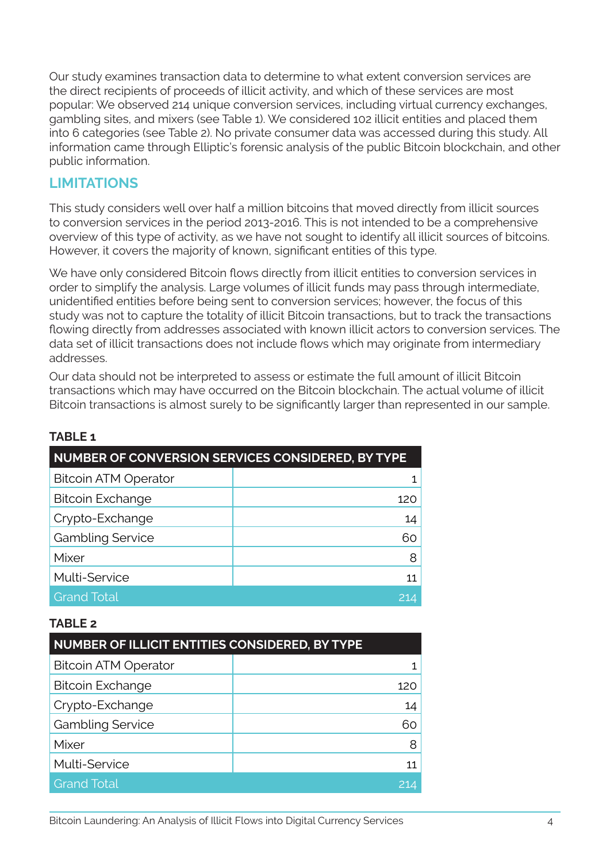Our study examines transaction data to determine to what extent conversion services are the direct recipients of proceeds of illicit activity, and which of these services are most popular: We observed 214 unique conversion services, including virtual currency exchanges, gambling sites, and mixers (see Table 1). We considered 102 illicit entities and placed them into 6 categories (see Table 2). No private consumer data was accessed during this study. All information came through Elliptic's forensic analysis of the public Bitcoin blockchain, and other public information.

# **LIMITATIONS**

This study considers well over half a million bitcoins that moved directly from illicit sources to conversion services in the period 2013-2016. This is not intended to be a comprehensive overview of this type of activity, as we have not sought to identify all illicit sources of bitcoins. However, it covers the majority of known, significant entities of this type.

We have only considered Bitcoin flows directly from illicit entities to conversion services in order to simplify the analysis. Large volumes of illicit funds may pass through intermediate, unidentified entities before being sent to conversion services; however, the focus of this study was not to capture the totality of illicit Bitcoin transactions, but to track the transactions flowing directly from addresses associated with known illicit actors to conversion services. The data set of illicit transactions does not include flows which may originate from intermediary addresses.

Our data should not be interpreted to assess or estimate the full amount of illicit Bitcoin transactions which may have occurred on the Bitcoin blockchain. The actual volume of illicit Bitcoin transactions is almost surely to be significantly larger than represented in our sample.

| NUMBER OF CONVERSION SERVICES CONSIDERED, BY TYPE |     |  |  |  |  |
|---------------------------------------------------|-----|--|--|--|--|
| <b>Bitcoin ATM Operator</b>                       | 1.  |  |  |  |  |
| <b>Bitcoin Exchange</b>                           | 120 |  |  |  |  |
| Crypto-Exchange                                   | 14  |  |  |  |  |
| <b>Gambling Service</b>                           | 60. |  |  |  |  |
| Mixer                                             | 8   |  |  |  |  |
| Multi-Service                                     | 11  |  |  |  |  |
| <b>Grand Total</b>                                | 214 |  |  |  |  |

## **TABLE 1**

### **TABLE 2**

| NUMBER OF ILLICIT ENTITIES CONSIDERED, BY TYPE |     |  |  |  |  |
|------------------------------------------------|-----|--|--|--|--|
| <b>Bitcoin ATM Operator</b>                    |     |  |  |  |  |
| <b>Bitcoin Exchange</b>                        | 120 |  |  |  |  |
| Crypto-Exchange                                | 14  |  |  |  |  |
| <b>Gambling Service</b>                        | 60  |  |  |  |  |
| Mixer                                          | 8   |  |  |  |  |
| Multi-Service                                  | 11  |  |  |  |  |
| <b>Grand Total</b>                             |     |  |  |  |  |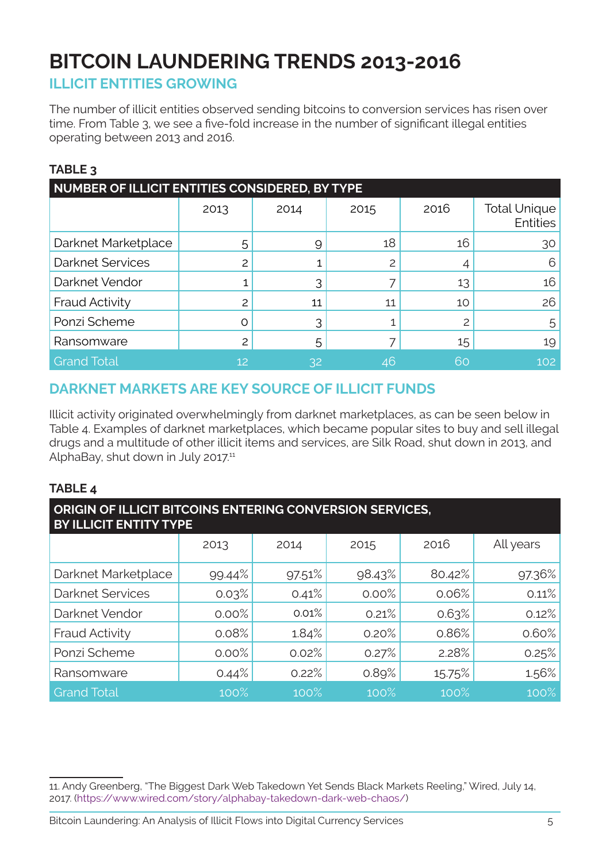# **BITCOIN LAUNDERING TRENDS 2013-2016**

# **ILLICIT ENTITIES GROWING**

The number of illicit entities observed sending bitcoins to conversion services has risen over time. From Table 3, we see a five-fold increase in the number of significant illegal entities operating between 2013 and 2016.

## **TABLE 3**

| NUMBER OF ILLICIT ENTITIES CONSIDERED, BY TYPE |      |      |      |      |                                        |  |
|------------------------------------------------|------|------|------|------|----------------------------------------|--|
|                                                | 2013 | 2014 | 2015 | 2016 | <b>Total Unique</b><br><b>Entities</b> |  |
| Darknet Marketplace                            | 5    | 9    | 18   | 16   | 30                                     |  |
| <b>Darknet Services</b>                        | 2    |      | 2    |      | 6                                      |  |
| Darknet Vendor                                 |      |      |      | 13   | 16                                     |  |
| Fraud Activity                                 | 2    | 11   | 11   | 10   | 26                                     |  |
| Ponzi Scheme                                   | Ω    |      |      |      | 5                                      |  |
| Ransomware                                     | 2    | 5    |      | 15   | 19                                     |  |
| <b>Grand Total</b>                             | 12   | 32   | 46   | 60   | 102                                    |  |

# **DARKNET MARKETS ARE KEY SOURCE OF ILLICIT FUNDS**

Illicit activity originated overwhelmingly from darknet marketplaces, as can be seen below in Table 4. Examples of darknet marketplaces, which became popular sites to buy and sell illegal drugs and a multitude of other illicit items and services, are Silk Road, shut down in 2013, and AlphaBay, shut down in July 2017.<sup>11</sup>

## **TABLE 4**

| ORIGIN OF ILLICIT BITCOINS ENTERING CONVERSION SERVICES,<br><b>BY ILLICIT ENTITY TYPE</b> |        |        |        |        |           |  |
|-------------------------------------------------------------------------------------------|--------|--------|--------|--------|-----------|--|
|                                                                                           | 2013   | 2014   | 2015   | 2016   | All years |  |
| Darknet Marketplace                                                                       | 99.44% | 97.51% | 98.43% | 80.42% | 97.36%    |  |
| <b>Darknet Services</b>                                                                   | 0.03%  | 0.41%  | 0.00%  | 0.06%  | 0.11%     |  |
| Darknet Vendor                                                                            | 0.00%  | 0.01%  | 0.21%  | 0.63%  | 0.12%     |  |
| <b>Fraud Activity</b>                                                                     | 0.08%  | 1.84%  | 0.20%  | 0.86%  | 0.60%     |  |
| Ponzi Scheme                                                                              | 0.00%  | 0.02%  | 0.27%  | 2.28%  | 0.25%     |  |
| Ransomware                                                                                | 0.44%  | 0.22%  | 0.89%  | 15.75% | 1.56%     |  |
| <b>Grand Total</b>                                                                        | 100%   | 100%   | 100%   | 100%   | 100%      |  |

<sup>11.</sup> Andy Greenberg, "The Biggest Dark Web Takedown Yet Sends Black Markets Reeling," Wired, July 14, 2017. (https://www.wired.com/story/alphabay-takedown-dark-web-chaos/)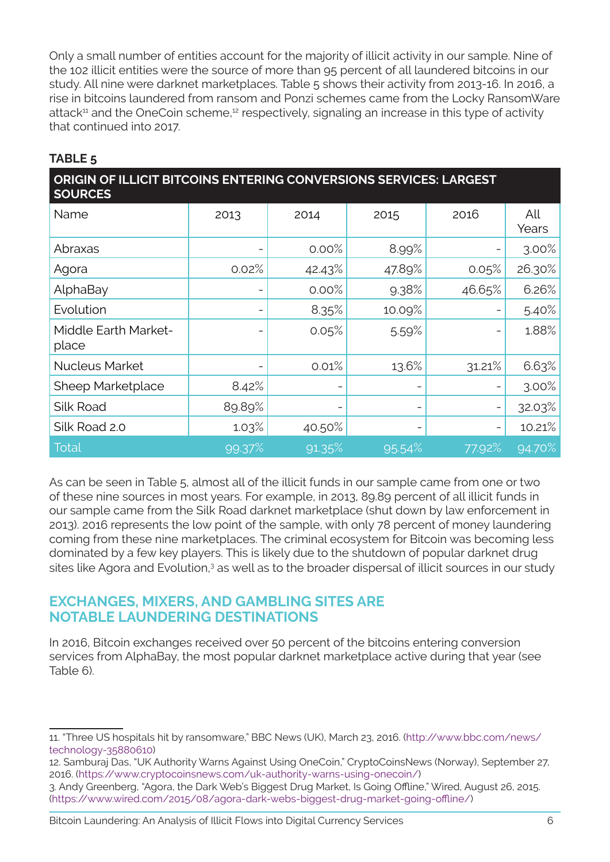Only a small number of entities account for the majority of illicit activity in our sample. Nine of the 102 illicit entities were the source of more than 95 percent of all laundered bitcoins in our study. All nine were darknet marketplaces. Table 5 shows their activity from 2013-16. In 2016, a rise in bitcoins laundered from ransom and Ponzi schemes came from the Locky RansomWare attack<sup>11</sup> and the OneCoin scheme,<sup>12</sup> respectively, signaling an increase in this type of activity that continued into 2017.

## **TABLE 5**

| ORIGIN OF ILLICIT BITCOINS ENTERING CONVERSIONS SERVICES: LARGEST<br><b>SOURCES</b> |        |        |        |        |              |  |  |
|-------------------------------------------------------------------------------------|--------|--------|--------|--------|--------------|--|--|
| Name                                                                                | 2013   | 2014   | 2015   | 2016   | All<br>Years |  |  |
| Abraxas                                                                             |        | 0.00%  | 8.99%  |        | 3.00%        |  |  |
| Agora                                                                               | 0.02%  | 42.43% | 47.89% | 0.05%  | 26.30%       |  |  |
| AlphaBay                                                                            |        | 0.00%  | 9.38%  | 46.65% | 6.26%        |  |  |
| Evolution                                                                           |        | 8.35%  | 10.09% |        | 5.40%        |  |  |
| Middle Earth Market-<br>place                                                       |        | 0.05%  | 5.59%  |        | 1.88%        |  |  |
| <b>Nucleus Market</b>                                                               |        | 0.01%  | 13.6%  | 31.21% | 6.63%        |  |  |
| Sheep Marketplace                                                                   | 8.42%  |        |        |        | 3.00%        |  |  |
| Silk Road                                                                           | 89.89% |        |        |        | 32.03%       |  |  |
| Silk Road 2.0                                                                       | 1.03%  | 40.50% |        |        | 10.21%       |  |  |
| <b>Total</b>                                                                        | 99.37% | 91.35% | 95.54% | 77.92% | 94.70%       |  |  |

As can be seen in Table 5, almost all of the illicit funds in our sample came from one or two of these nine sources in most years. For example, in 2013, 89.89 percent of all illicit funds in our sample came from the Silk Road darknet marketplace (shut down by law enforcement in 2013). 2016 represents the low point of the sample, with only 78 percent of money laundering coming from these nine marketplaces. The criminal ecosystem for Bitcoin was becoming less dominated by a few key players. This is likely due to the shutdown of popular darknet drug sites like Agora and Evolution,<sup>3</sup> as well as to the broader dispersal of illicit sources in our study

## **EXCHANGES, MIXERS, AND GAMBLING SITES ARE NOTABLE LAUNDERING DESTINATIONS**

In 2016, Bitcoin exchanges received over 50 percent of the bitcoins entering conversion services from AlphaBay, the most popular darknet marketplace active during that year (see Table 6).

(https://www.wired.com/2015/08/agora-dark-webs-biggest-drug-market-going-offline/)

<sup>11. &</sup>quot;Three US hospitals hit by ransomware," BBC News (UK), March 23, 2016. (http://www.bbc.com/news/ technology-35880610)

<sup>12.</sup> Samburaj Das, "UK Authority Warns Against Using OneCoin," CryptoCoinsNews (Norway), September 27, 2016. (https://www.cryptocoinsnews.com/uk-authority-warns-using-onecoin/) 3. Andy Greenberg, "Agora, the Dark Web's Biggest Drug Market, Is Going Offline," Wired, August 26, 2015.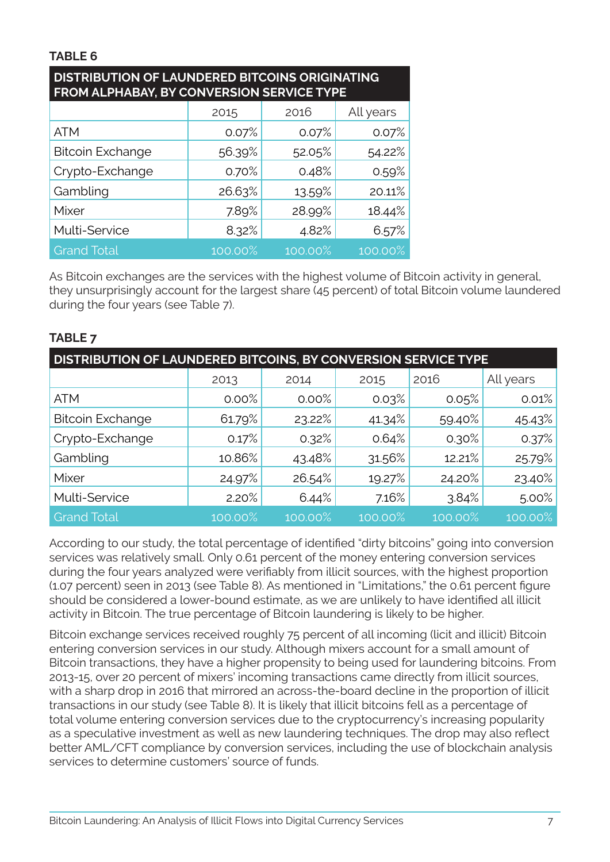## **TABLE 6**

| <b>DISTRIBUTION OF LAUNDERED BITCOINS ORIGINATING</b><br>FROM ALPHABAY, BY CONVERSION SERVICE TYPE |         |         |           |  |  |  |
|----------------------------------------------------------------------------------------------------|---------|---------|-----------|--|--|--|
|                                                                                                    | 2015    | 2016    | All years |  |  |  |
| <b>ATM</b>                                                                                         | 0.07%   | 0.07%   | 0.07%     |  |  |  |
| <b>Bitcoin Exchange</b>                                                                            | 56.39%  | 52.05%  | 54.22%    |  |  |  |
| Crypto-Exchange                                                                                    | 0.70%   | 0.48%   | 0.59%     |  |  |  |
| Gambling                                                                                           | 26.63%  | 13.59%  | 20.11%    |  |  |  |
| Mixer                                                                                              | 7.89%   | 28.99%  | 18.44%    |  |  |  |
| Multi-Service                                                                                      | 8.32%   | 4.82%   | 6.57%     |  |  |  |
| <b>Grand Total</b>                                                                                 | 100.00% | 100.00% | 100.00%   |  |  |  |

As Bitcoin exchanges are the services with the highest volume of Bitcoin activity in general, they unsurprisingly account for the largest share (45 percent) of total Bitcoin volume laundered during the four years (see Table 7).

| <b>DISTRIBUTION OF LAUNDERED BITCOINS, BY CONVERSION SERVICE TYPE</b> |         |         |         |         |           |  |
|-----------------------------------------------------------------------|---------|---------|---------|---------|-----------|--|
|                                                                       | 2013    | 2014    | 2015    | 2016    | All years |  |
| <b>ATM</b>                                                            | 0.00%   | 0.00%   | 0.03%   | 0.05%   | 0.01%     |  |
| <b>Bitcoin Exchange</b>                                               | 61.79%  | 23.22%  | 41.34%  | 59.40%  | 45.43%    |  |
| Crypto-Exchange                                                       | 0.17%   | 0.32%   | 0.64%   | 0.30%   | 0.37%     |  |
| Gambling                                                              | 10.86%  | 43.48%  | 31.56%  | 12.21%  | 25.79%    |  |
| Mixer                                                                 | 24.97%  | 26.54%  | 19.27%  | 24.20%  | 23.40%    |  |
| Multi-Service                                                         | 2.20%   | 6.44%   | 7.16%   | 3.84%   | 5.00%     |  |
| <b>Grand Total</b>                                                    | 100.00% | 100.00% | 100.00% | 100.00% | 100.00%   |  |

## **TABLE 7**

According to our study, the total percentage of identified "dirty bitcoins" going into conversion services was relatively small. Only 0.61 percent of the money entering conversion services during the four years analyzed were verifiably from illicit sources, with the highest proportion (1.07 percent) seen in 2013 (see Table 8). As mentioned in "Limitations," the 0.61 percent figure should be considered a lower-bound estimate, as we are unlikely to have identified all illicit activity in Bitcoin. The true percentage of Bitcoin laundering is likely to be higher.

Bitcoin exchange services received roughly 75 percent of all incoming (licit and illicit) Bitcoin entering conversion services in our study. Although mixers account for a small amount of Bitcoin transactions, they have a higher propensity to being used for laundering bitcoins. From 2013-15, over 20 percent of mixers' incoming transactions came directly from illicit sources, with a sharp drop in 2016 that mirrored an across-the-board decline in the proportion of illicit transactions in our study (see Table 8). It is likely that illicit bitcoins fell as a percentage of total volume entering conversion services due to the cryptocurrency's increasing popularity as a speculative investment as well as new laundering techniques. The drop may also reflect better AML/CFT compliance by conversion services, including the use of blockchain analysis services to determine customers' source of funds.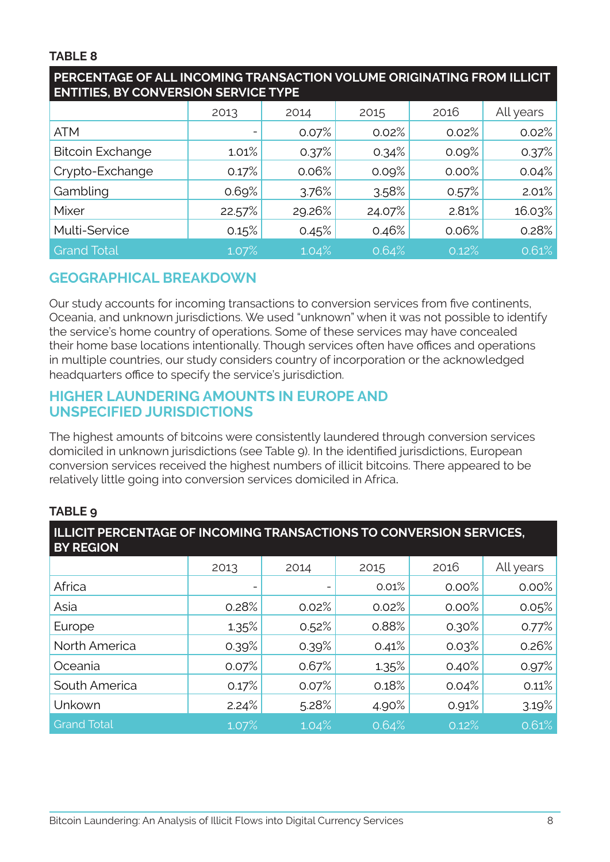## **TABLE 8**

| <b>ENTITIES, BY CONVERSION SERVICE TYPE</b> |        |        |        |       |           |  |
|---------------------------------------------|--------|--------|--------|-------|-----------|--|
|                                             | 2013   | 2014   | 2015   | 2016  | All years |  |
| <b>ATM</b>                                  |        | 0.07%  | 0.02%  | 0.02% | 0.02%     |  |
| <b>Bitcoin Exchange</b>                     | 1.01%  | 0.37%  | 0.34%  | 0.09% | 0.37%     |  |
| Crypto-Exchange                             | 0.17%  | 0.06%  | 0.09%  | 0.00% | 0.04%     |  |
| Gambling                                    | 0.69%  | 3.76%  | 3.58%  | 0.57% | 2.01%     |  |
| Mixer                                       | 22.57% | 29.26% | 24.07% | 2.81% | 16.03%    |  |
| Multi-Service                               | 0.15%  | 0.45%  | 0.46%  | 0.06% | 0.28%     |  |
| <b>Grand Total</b>                          | 1.07%  | 1.04%  | 0.64%  | 0.12% | 0.61%     |  |

# **PERCENTAGE OF ALL INCOMING TRANSACTION VOLUME ORIGINATING FROM ILLICIT**

# **GEOGRAPHICAL BREAKDOWN**

Our study accounts for incoming transactions to conversion services from five continents, Oceania, and unknown jurisdictions. We used "unknown" when it was not possible to identify the service's home country of operations. Some of these services may have concealed their home base locations intentionally. Though services often have offices and operations in multiple countries, our study considers country of incorporation or the acknowledged headquarters office to specify the service's jurisdiction.

## **HIGHER LAUNDERING AMOUNTS IN EUROPE AND UNSPECIFIED JURISDICTIONS**

The highest amounts of bitcoins were consistently laundered through conversion services domiciled in unknown jurisdictions (see Table 9). In the identified jurisdictions, European conversion services received the highest numbers of illicit bitcoins. There appeared to be relatively little going into conversion services domiciled in Africa.

## **TABLE 9**

| ILLICIT PERCENTAGE OF INCOMING TRANSACTIONS TO CONVERSION SERVICES,<br><b>BY REGION</b> |       |       |       |       |           |
|-----------------------------------------------------------------------------------------|-------|-------|-------|-------|-----------|
|                                                                                         | 2013  | 2014  | 2015  | 2016  | All years |
| Africa                                                                                  |       |       | 0.01% | 0.00% | 0.00%     |
| Asia                                                                                    | 0.28% | 0.02% | 0.02% | 0.00% | 0.05%     |
| Europe                                                                                  | 1.35% | 0.52% | 0.88% | 0.30% | 0.77%     |
| North America                                                                           | 0.39% | 0.39% | 0.41% | 0.03% | 0.26%     |
| Oceania                                                                                 | 0.07% | 0.67% | 1.35% | 0.40% | 0.97%     |
| South America                                                                           | 0.17% | 0.07% | 0.18% | 0.04% | 0.11%     |
| Unkown                                                                                  | 2.24% | 5.28% | 4.90% | 0.91% | 3.19%     |
| <b>Grand Total</b>                                                                      | 1.07% | 1.04% | 0.64% | 0.12% | 0.61%     |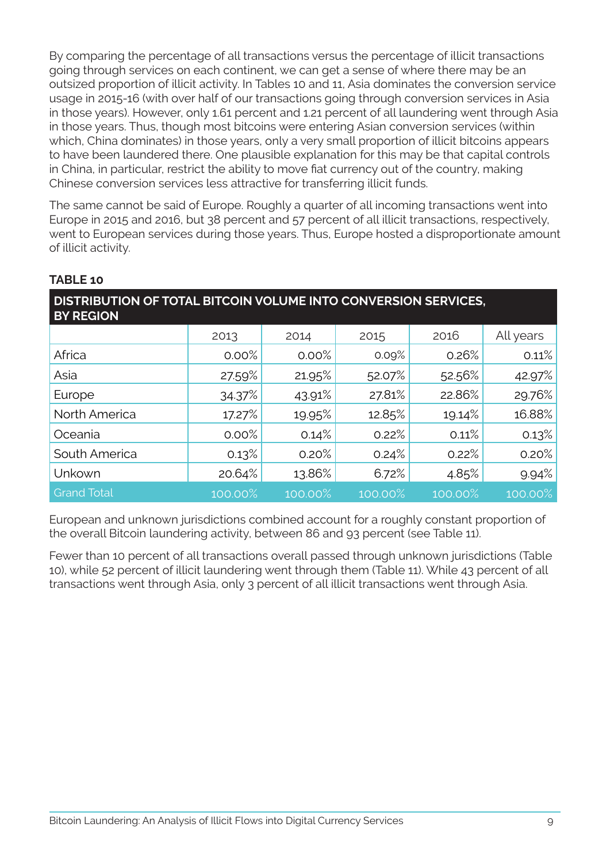By comparing the percentage of all transactions versus the percentage of illicit transactions going through services on each continent, we can get a sense of where there may be an outsized proportion of illicit activity. In Tables 10 and 11, Asia dominates the conversion service usage in 2015-16 (with over half of our transactions going through conversion services in Asia in those years). However, only 1.61 percent and 1.21 percent of all laundering went through Asia in those years. Thus, though most bitcoins were entering Asian conversion services (within which, China dominates) in those years, only a very small proportion of illicit bitcoins appears to have been laundered there. One plausible explanation for this may be that capital controls in China, in particular, restrict the ability to move fiat currency out of the country, making Chinese conversion services less attractive for transferring illicit funds.

The same cannot be said of Europe. Roughly a quarter of all incoming transactions went into Europe in 2015 and 2016, but 38 percent and 57 percent of all illicit transactions, respectively, went to European services during those years. Thus, Europe hosted a disproportionate amount of illicit activity.

| DISTRIBUTION OF TOTAL BITCOIN VOLUME INTO CONVERSION SERVICES,<br><b>BY REGION</b> |         |         |         |         |            |  |
|------------------------------------------------------------------------------------|---------|---------|---------|---------|------------|--|
|                                                                                    | 2013    | 2014    | 2015    | 2016    | All years  |  |
| Africa                                                                             | 0.00%   | 0.00%   | 0.09%   | 0.26%   | 0.11%      |  |
| Asia                                                                               | 27.59%  | 21.95%  | 52.07%  | 52.56%  | 42.97%     |  |
| Europe                                                                             | 34.37%  | 43.91%  | 27.81%  | 22.86%  | 29.76%     |  |
| North America                                                                      | 17.27%  | 19.95%  | 12.85%  | 19.14%  | 16.88%     |  |
| Oceania                                                                            | 0.00%   | 0.14%   | 0.22%   | 0.11%   | 0.13%      |  |
| South America                                                                      | 0.13%   | 0.20%   | 0.24%   | 0.22%   | 0.20%      |  |
| Unkown                                                                             | 20.64%  | 13.86%  | 6.72%   | 4.85%   | 9.94%      |  |
| Grand Total                                                                        | 100.00% | 100.00% | 100.00% | 100.00% | $100.00\%$ |  |

## **TABLE 10**

European and unknown jurisdictions combined account for a roughly constant proportion of the overall Bitcoin laundering activity, between 86 and 93 percent (see Table 11).

Fewer than 10 percent of all transactions overall passed through unknown jurisdictions (Table 10), while 52 percent of illicit laundering went through them (Table 11). While 43 percent of all transactions went through Asia, only 3 percent of all illicit transactions went through Asia.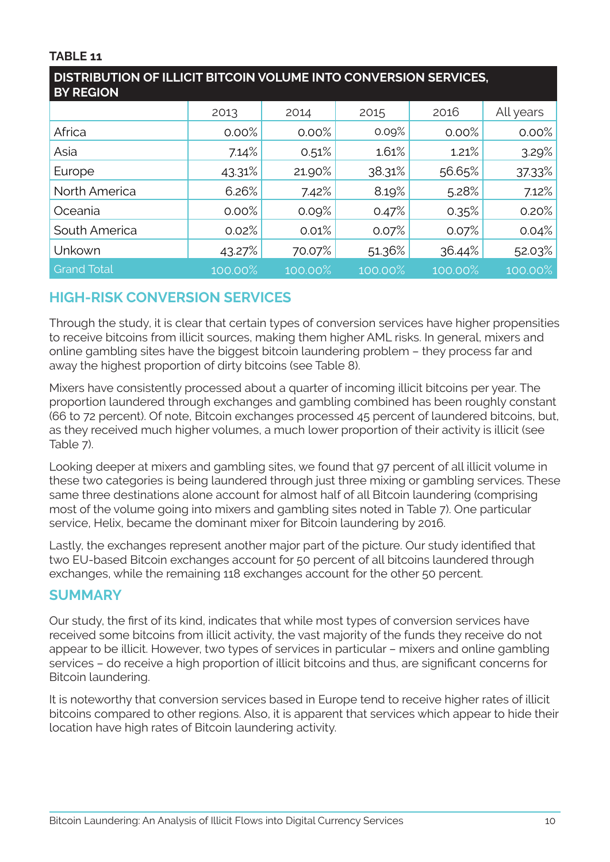## **TABLE 11**

| DISTRIBUTION OF ILLICIT BITCOIN VOLUME INTO CONVERSION SERVICES,<br><b>BY REGION</b> |         |         |         |         |           |  |
|--------------------------------------------------------------------------------------|---------|---------|---------|---------|-----------|--|
|                                                                                      | 2013    | 2014    | 2015    | 2016    | All years |  |
| Africa                                                                               | 0.00%   | 0.00%   | 0.09%   | 0.00%   | 0.00%     |  |
| Asia                                                                                 | 7.14%   | 0.51%   | 1.61%   | 1.21%   | 3.29%     |  |
| Europe                                                                               | 43.31%  | 21.90%  | 38.31%  | 56.65%  | 37.33%    |  |
| North America                                                                        | 6.26%   | 7.42%   | 8.19%   | 5.28%   | 7.12%     |  |
| Oceania                                                                              | 0.00%   | 0.09%   | 0.47%   | 0.35%   | 0.20%     |  |
| South America                                                                        | 0.02%   | 0.01%   | 0.07%   | 0.07%   | 0.04%     |  |
| Unkown                                                                               | 43.27%  | 70.07%  | 51.36%  | 36.44%  | 52.03%    |  |
| <b>Grand Total</b>                                                                   | 100.00% | 100.00% | 100.00% | 100.00% | 100.00%   |  |

# **HIGH-RISK CONVERSION SERVICES**

Through the study, it is clear that certain types of conversion services have higher propensities to receive bitcoins from illicit sources, making them higher AML risks. In general, mixers and online gambling sites have the biggest bitcoin laundering problem – they process far and away the highest proportion of dirty bitcoins (see Table 8).

Mixers have consistently processed about a quarter of incoming illicit bitcoins per year. The proportion laundered through exchanges and gambling combined has been roughly constant (66 to 72 percent). Of note, Bitcoin exchanges processed 45 percent of laundered bitcoins, but, as they received much higher volumes, a much lower proportion of their activity is illicit (see Table 7).

Looking deeper at mixers and gambling sites, we found that 97 percent of all illicit volume in these two categories is being laundered through just three mixing or gambling services. These same three destinations alone account for almost half of all Bitcoin laundering (comprising most of the volume going into mixers and gambling sites noted in Table 7). One particular service, Helix, became the dominant mixer for Bitcoin laundering by 2016.

Lastly, the exchanges represent another major part of the picture. Our study identified that two EU-based Bitcoin exchanges account for 50 percent of all bitcoins laundered through exchanges, while the remaining 118 exchanges account for the other 50 percent.

## **SUMMARY**

Our study, the first of its kind, indicates that while most types of conversion services have received some bitcoins from illicit activity, the vast majority of the funds they receive do not appear to be illicit. However, two types of services in particular – mixers and online gambling services – do receive a high proportion of illicit bitcoins and thus, are significant concerns for Bitcoin laundering.

It is noteworthy that conversion services based in Europe tend to receive higher rates of illicit bitcoins compared to other regions. Also, it is apparent that services which appear to hide their location have high rates of Bitcoin laundering activity.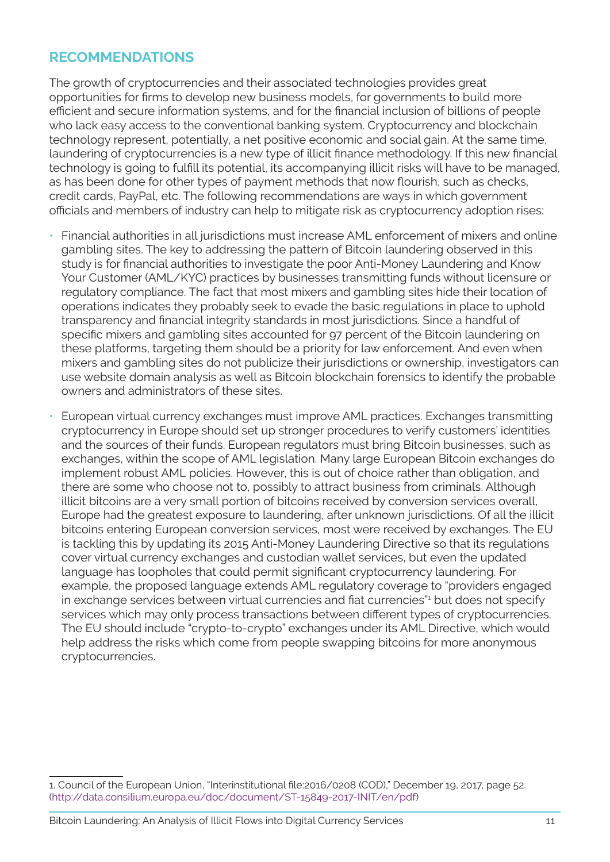## **RECOMMENDATIONS**

The growth of cryptocurrencies and their associated technologies provides great opportunities for firms to develop new business models, for governments to build more efficient and secure information systems, and for the financial inclusion of billions of people who lack easy access to the conventional banking system. Cryptocurrency and blockchain technology represent, potentially, a net positive economic and social gain. At the same time, laundering of cryptocurrencies is a new type of illicit finance methodology. If this new financial technology is going to fulfill its potential, its accompanying illicit risks will have to be managed, as has been done for other types of payment methods that now flourish, such as checks, credit cards, PayPal, etc. The following recommendations are ways in which government officials and members of industry can help to mitigate risk as cryptocurrency adoption rises:

- Financial authorities in all jurisdictions must increase AML enforcement of mixers and online gambling sites. The key to addressing the pattern of Bitcoin laundering observed in this study is for financial authorities to investigate the poor Anti-Money Laundering and Know Your Customer (AML/KYC) practices by businesses transmitting funds without licensure or regulatory compliance. The fact that most mixers and gambling sites hide their location of operations indicates they probably seek to evade the basic regulations in place to uphold transparency and financial integrity standards in most jurisdictions. Since a handful of specific mixers and gambling sites accounted for 97 percent of the Bitcoin laundering on these platforms, targeting them should be a priority for law enforcement. And even when mixers and gambling sites do not publicize their jurisdictions or ownership, investigators can use website domain analysis as well as Bitcoin blockchain forensics to identify the probable owners and administrators of these sites.
- European virtual currency exchanges must improve AML practices. Exchanges transmitting cryptocurrency in Europe should set up stronger procedures to verify customers' identities and the sources of their funds. European regulators must bring Bitcoin businesses, such as exchanges, within the scope of AML legislation. Many large European Bitcoin exchanges do implement robust AML policies. However, this is out of choice rather than obligation, and there are some who choose not to, possibly to attract business from criminals. Although illicit bitcoins are a very small portion of bitcoins received by conversion services overall, Europe had the greatest exposure to laundering, after unknown jurisdictions. Of all the illicit bitcoins entering European conversion services, most were received by exchanges. The EU is tackling this by updating its 2015 Anti-Money Laundering Directive so that its regulations cover virtual currency exchanges and custodian wallet services, but even the updated language has loopholes that could permit significant cryptocurrency laundering. For example, the proposed language extends AML regulatory coverage to "providers engaged in exchange services between virtual currencies and fiat currencies"<sup>1</sup> but does not specify services which may only process transactions between different types of cryptocurrencies. The EU should include "crypto-to-crypto" exchanges under its AML Directive, which would help address the risks which come from people swapping bitcoins for more anonymous cryptocurrencies.

<sup>1.</sup> Council of the European Union, "Interinstitutional file:2016/0208 (COD)," December 19, 2017, page 52. (http://data.consilium.europa.eu/doc/document/ST-15849-2017-INIT/en/pdf)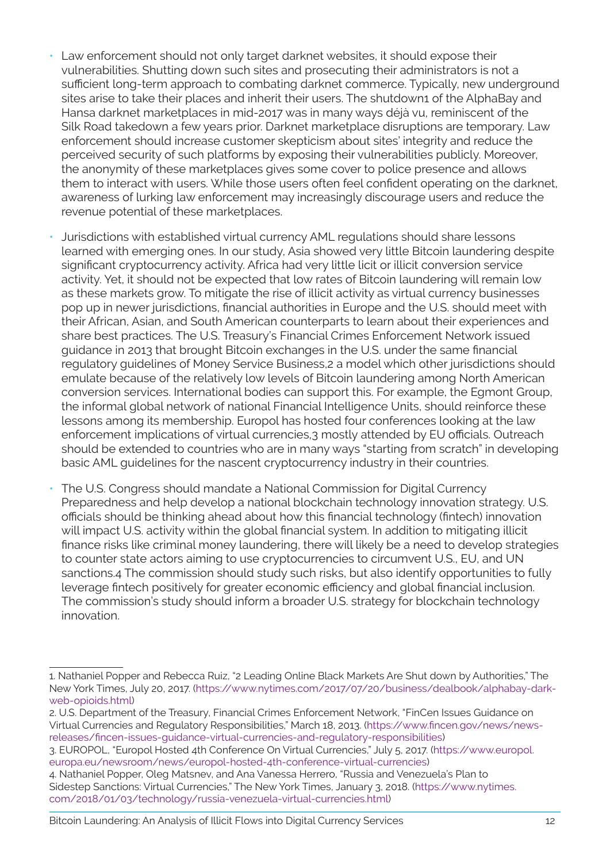- Law enforcement should not only target darknet websites, it should expose their vulnerabilities. Shutting down such sites and prosecuting their administrators is not a sufficient long-term approach to combating darknet commerce. Typically, new underground sites arise to take their places and inherit their users. The shutdown1 of the AlphaBay and Hansa darknet marketplaces in mid-2017 was in many ways déjà vu, reminiscent of the Silk Road takedown a few years prior. Darknet marketplace disruptions are temporary. Law enforcement should increase customer skepticism about sites' integrity and reduce the perceived security of such platforms by exposing their vulnerabilities publicly. Moreover, the anonymity of these marketplaces gives some cover to police presence and allows them to interact with users. While those users often feel confident operating on the darknet, awareness of lurking law enforcement may increasingly discourage users and reduce the revenue potential of these marketplaces.
- Jurisdictions with established virtual currency AML regulations should share lessons learned with emerging ones. In our study, Asia showed very little Bitcoin laundering despite significant cryptocurrency activity. Africa had very little licit or illicit conversion service activity. Yet, it should not be expected that low rates of Bitcoin laundering will remain low as these markets grow. To mitigate the rise of illicit activity as virtual currency businesses pop up in newer jurisdictions, financial authorities in Europe and the U.S. should meet with their African, Asian, and South American counterparts to learn about their experiences and share best practices. The U.S. Treasury's Financial Crimes Enforcement Network issued guidance in 2013 that brought Bitcoin exchanges in the U.S. under the same financial regulatory guidelines of Money Service Business,2 a model which other jurisdictions should emulate because of the relatively low levels of Bitcoin laundering among North American conversion services. International bodies can support this. For example, the Egmont Group, the informal global network of national Financial Intelligence Units, should reinforce these lessons among its membership. Europol has hosted four conferences looking at the law enforcement implications of virtual currencies,3 mostly attended by EU officials. Outreach should be extended to countries who are in many ways "starting from scratch" in developing basic AML guidelines for the nascent cryptocurrency industry in their countries.
- The U.S. Congress should mandate a National Commission for Digital Currency Preparedness and help develop a national blockchain technology innovation strategy. U.S. officials should be thinking ahead about how this financial technology (fintech) innovation will impact U.S. activity within the global financial system. In addition to mitigating illicit finance risks like criminal money laundering, there will likely be a need to develop strategies to counter state actors aiming to use cryptocurrencies to circumvent U.S., EU, and UN sanctions.4 The commission should study such risks, but also identify opportunities to fully leverage fintech positively for greater economic efficiency and global financial inclusion. The commission's study should inform a broader U.S. strategy for blockchain technology innovation.

<sup>1.</sup> Nathaniel Popper and Rebecca Ruiz, "2 Leading Online Black Markets Are Shut down by Authorities," The New York Times, July 20, 2017. (https://www.nytimes.com/2017/07/20/business/dealbook/alphabay-darkweb-opioids.html)

<sup>2.</sup> U.S. Department of the Treasury, Financial Crimes Enforcement Network, "FinCen Issues Guidance on Virtual Currencies and Regulatory Responsibilities," March 18, 2013. (https://www.fincen.gov/news/newsreleases/fincen-issues-guidance-virtual-currencies-and-regulatory-responsibilities)

<sup>3.</sup> EUROPOL, "Europol Hosted 4th Conference On Virtual Currencies," July 5, 2017. (https://www.europol. europa.eu/newsroom/news/europol-hosted-4th-conference-virtual-currencies)

<sup>4.</sup> Nathaniel Popper, Oleg Matsnev, and Ana Vanessa Herrero, "Russia and Venezuela's Plan to Sidestep Sanctions: Virtual Currencies," The New York Times, January 3, 2018. (https://www.nytimes. com/2018/01/03/technology/russia-venezuela-virtual-currencies.html)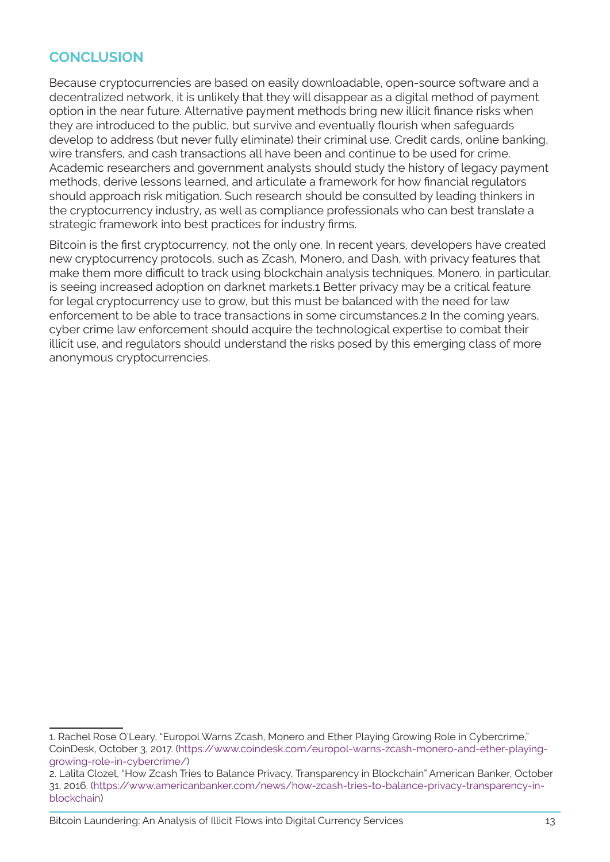# **CONCLUSION**

Because cryptocurrencies are based on easily downloadable, open-source software and a decentralized network, it is unlikely that they will disappear as a digital method of payment option in the near future. Alternative payment methods bring new illicit finance risks when they are introduced to the public, but survive and eventually flourish when safeguards develop to address (but never fully eliminate) their criminal use. Credit cards, online banking, wire transfers, and cash transactions all have been and continue to be used for crime. Academic researchers and government analysts should study the history of legacy payment methods, derive lessons learned, and articulate a framework for how financial regulators should approach risk mitigation. Such research should be consulted by leading thinkers in the cryptocurrency industry, as well as compliance professionals who can best translate a strategic framework into best practices for industry firms.

Bitcoin is the first cryptocurrency, not the only one. In recent years, developers have created new cryptocurrency protocols, such as Zcash, Monero, and Dash, with privacy features that make them more difficult to track using blockchain analysis techniques. Monero, in particular, is seeing increased adoption on darknet markets.1 Better privacy may be a critical feature for legal cryptocurrency use to grow, but this must be balanced with the need for law enforcement to be able to trace transactions in some circumstances.2 In the coming years, cyber crime law enforcement should acquire the technological expertise to combat their illicit use, and regulators should understand the risks posed by this emerging class of more anonymous cryptocurrencies.

Bitcoin Laundering: An Analysis of Illicit Flows into Digital Currency Services 13

<sup>1.</sup> Rachel Rose O'Leary, "Europol Warns Zcash, Monero and Ether Playing Growing Role in Cybercrime," CoinDesk, October 3, 2017. (https://www.coindesk.com/europol-warns-zcash-monero-and-ether-playinggrowing-role-in-cybercrime/)

<sup>2.</sup> Lalita Clozel, "How Zcash Tries to Balance Privacy, Transparency in Blockchain" American Banker, October 31, 2016. (https://www.americanbanker.com/news/how-zcash-tries-to-balance-privacy-transparency-inblockchain)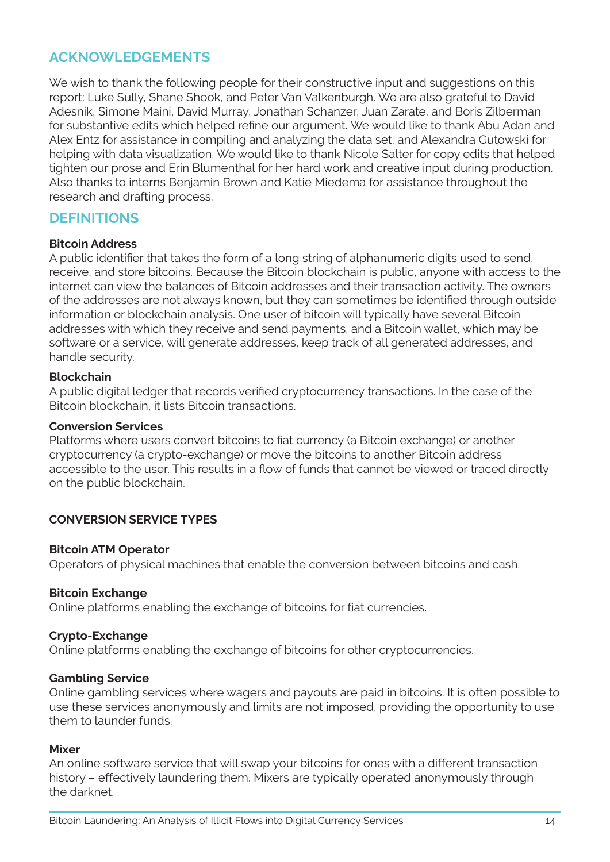## **ACKNOWLEDGEMENTS**

We wish to thank the following people for their constructive input and suggestions on this report: Luke Sully, Shane Shook, and Peter Van Valkenburgh. We are also grateful to David Adesnik, Simone Maini, David Murray, Jonathan Schanzer, Juan Zarate, and Boris Zilberman for substantive edits which helped refine our argument. We would like to thank Abu Adan and Alex Entz for assistance in compiling and analyzing the data set, and Alexandra Gutowski for helping with data visualization. We would like to thank Nicole Salter for copy edits that helped tighten our prose and Erin Blumenthal for her hard work and creative input during production. Also thanks to interns Benjamin Brown and Katie Miedema for assistance throughout the research and drafting process.

## **DEFINITIONS**

#### **Bitcoin Address**

A public identifier that takes the form of a long string of alphanumeric digits used to send, receive, and store bitcoins. Because the Bitcoin blockchain is public, anyone with access to the internet can view the balances of Bitcoin addresses and their transaction activity. The owners of the addresses are not always known, but they can sometimes be identified through outside information or blockchain analysis. One user of bitcoin will typically have several Bitcoin addresses with which they receive and send payments, and a Bitcoin wallet, which may be software or a service, will generate addresses, keep track of all generated addresses, and handle security.

#### **Blockchain**

A public digital ledger that records verified cryptocurrency transactions. In the case of the Bitcoin blockchain, it lists Bitcoin transactions.

#### **Conversion Services**

Platforms where users convert bitcoins to fiat currency (a Bitcoin exchange) or another cryptocurrency (a crypto-exchange) or move the bitcoins to another Bitcoin address accessible to the user. This results in a flow of funds that cannot be viewed or traced directly on the public blockchain.

#### **CONVERSION SERVICE TYPES**

#### **Bitcoin ATM Operator**

Operators of physical machines that enable the conversion between bitcoins and cash.

#### **Bitcoin Exchange**

Online platforms enabling the exchange of bitcoins for fiat currencies.

#### **Crypto-Exchange**

Online platforms enabling the exchange of bitcoins for other cryptocurrencies.

#### **Gambling Service**

Online gambling services where wagers and payouts are paid in bitcoins. It is often possible to use these services anonymously and limits are not imposed, providing the opportunity to use them to launder funds.

#### **Mixer**

An online software service that will swap your bitcoins for ones with a different transaction history – effectively laundering them. Mixers are typically operated anonymously through the darknet.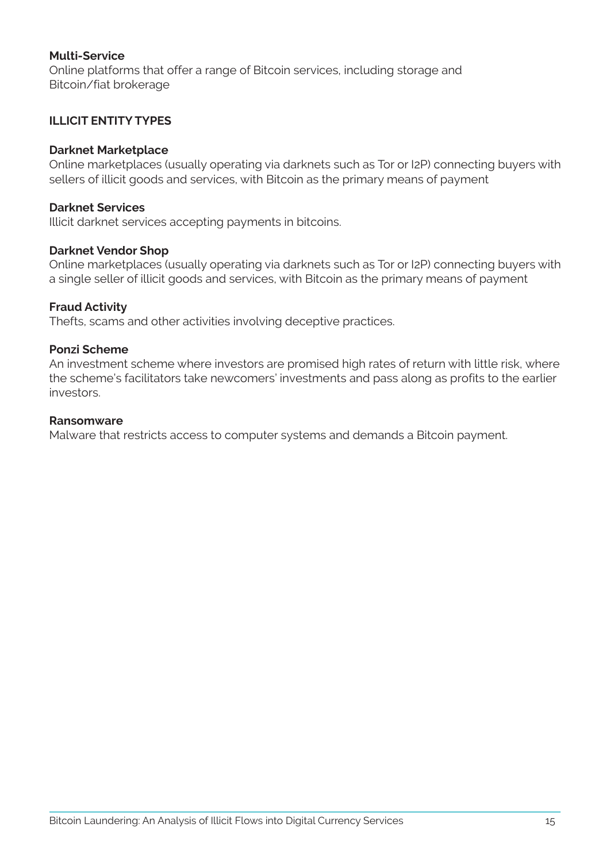#### **Multi-Service**

Online platforms that offer a range of Bitcoin services, including storage and Bitcoin/fiat brokerage

#### **ILLICIT ENTITY TYPES**

#### **Darknet Marketplace**

Online marketplaces (usually operating via darknets such as Tor or I2P) connecting buyers with sellers of illicit goods and services, with Bitcoin as the primary means of payment

#### **Darknet Services**

Illicit darknet services accepting payments in bitcoins.

#### **Darknet Vendor Shop**

Online marketplaces (usually operating via darknets such as Tor or I2P) connecting buyers with a single seller of illicit goods and services, with Bitcoin as the primary means of payment

#### **Fraud Activity**

Thefts, scams and other activities involving deceptive practices.

#### **Ponzi Scheme**

An investment scheme where investors are promised high rates of return with little risk, where the scheme's facilitators take newcomers' investments and pass along as profits to the earlier investors.

#### **Ransomware**

Malware that restricts access to computer systems and demands a Bitcoin payment.